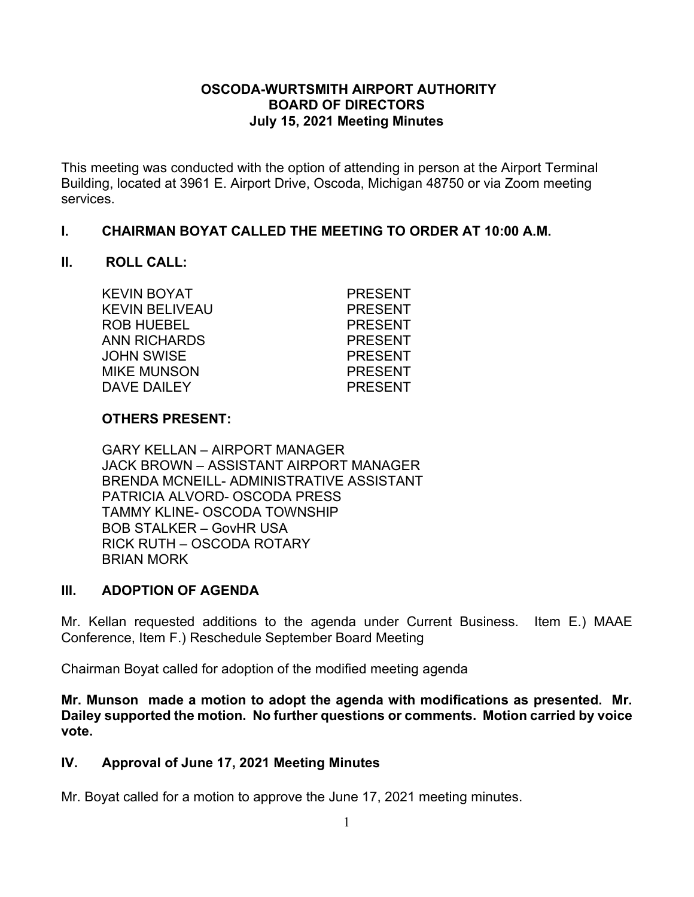### **OSCODA-WURTSMITH AIRPORT AUTHORITY BOARD OF DIRECTORS July 15, 2021 Meeting Minutes**

This meeting was conducted with the option of attending in person at the Airport Terminal Building, located at 3961 E. Airport Drive, Oscoda, Michigan 48750 or via Zoom meeting services.

#### **I. CHAIRMAN BOYAT CALLED THE MEETING TO ORDER AT 10:00 A.M.**

#### **II. ROLL CALL:**

| KEVIN BOYAT        | <b>PRESENT</b> |
|--------------------|----------------|
| KEVIN BELIVEAU     | <b>PRESENT</b> |
| ROB HUEBEL         | <b>PRESENT</b> |
| ANN RICHARDS       | <b>PRESENT</b> |
| JOHN SWISE         | <b>PRESENT</b> |
| <b>MIKE MUNSON</b> | <b>PRESENT</b> |
| <b>DAVE DAILEY</b> | <b>PRESENT</b> |
|                    |                |

### **OTHERS PRESENT:**

GARY KELLAN – AIRPORT MANAGER JACK BROWN – ASSISTANT AIRPORT MANAGER BRENDA MCNEILL- ADMINISTRATIVE ASSISTANT PATRICIA ALVORD- OSCODA PRESS TAMMY KLINE- OSCODA TOWNSHIP BOB STALKER – GovHR USA RICK RUTH – OSCODA ROTARY BRIAN MORK

### **III. ADOPTION OF AGENDA**

Mr. Kellan requested additions to the agenda under Current Business. Item E.) MAAE Conference, Item F.) Reschedule September Board Meeting

Chairman Boyat called for adoption of the modified meeting agenda

**Mr. Munson made a motion to adopt the agenda with modifications as presented. Mr. Dailey supported the motion. No further questions or comments. Motion carried by voice vote.**

### **IV. Approval of June 17, 2021 Meeting Minutes**

Mr. Boyat called for a motion to approve the June 17, 2021 meeting minutes.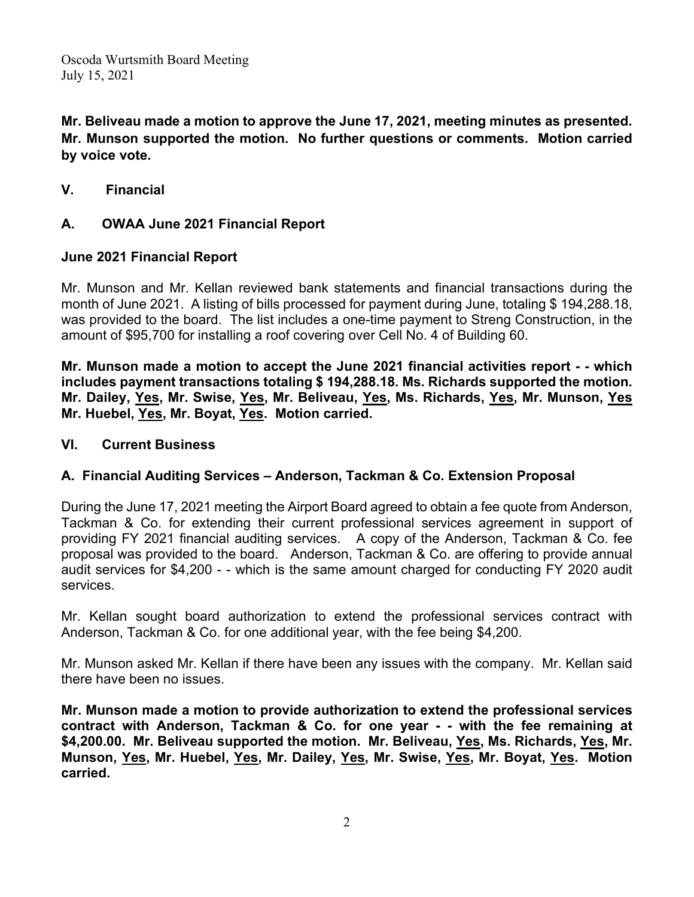**Mr. Beliveau made a motion to approve the June 17, 2021, meeting minutes as presented. Mr. Munson supported the motion. No further questions or comments. Motion carried by voice vote.**

**V. Financial** 

### **A. OWAA June 2021 Financial Report**

### **June 2021 Financial Report**

Mr. Munson and Mr. Kellan reviewed bank statements and financial transactions during the month of June 2021. A listing of bills processed for payment during June, totaling \$ 194,288.18, was provided to the board. The list includes a one-time payment to Streng Construction, in the amount of \$95,700 for installing a roof covering over Cell No. 4 of Building 60.

**Mr. Munson made a motion to accept the June 2021 financial activities report - - which includes payment transactions totaling \$ 194,288.18. Ms. Richards supported the motion. Mr. Dailey, Yes, Mr. Swise, Yes, Mr. Beliveau, Yes, Ms. Richards, Yes, Mr. Munson, Yes Mr. Huebel, Yes, Mr. Boyat, Yes. Motion carried.**

### **VI. Current Business**

# **A. Financial Auditing Services – Anderson, Tackman & Co. Extension Proposal**

During the June 17, 2021 meeting the Airport Board agreed to obtain a fee quote from Anderson, Tackman & Co. for extending their current professional services agreement in support of providing FY 2021 financial auditing services. A copy of the Anderson, Tackman & Co. fee proposal was provided to the board. Anderson, Tackman & Co. are offering to provide annual audit services for \$4,200 - - which is the same amount charged for conducting FY 2020 audit services.

Mr. Kellan sought board authorization to extend the professional services contract with Anderson, Tackman & Co. for one additional year, with the fee being \$4,200.

Mr. Munson asked Mr. Kellan if there have been any issues with the company. Mr. Kellan said there have been no issues.

**Mr. Munson made a motion to provide authorization to extend the professional services contract with Anderson, Tackman & Co. for one year - - with the fee remaining at \$4,200.00. Mr. Beliveau supported the motion. Mr. Beliveau, Yes, Ms. Richards, Yes, Mr. Munson, Yes, Mr. Huebel, Yes, Mr. Dailey, Yes, Mr. Swise, Yes, Mr. Boyat, Yes. Motion carried.**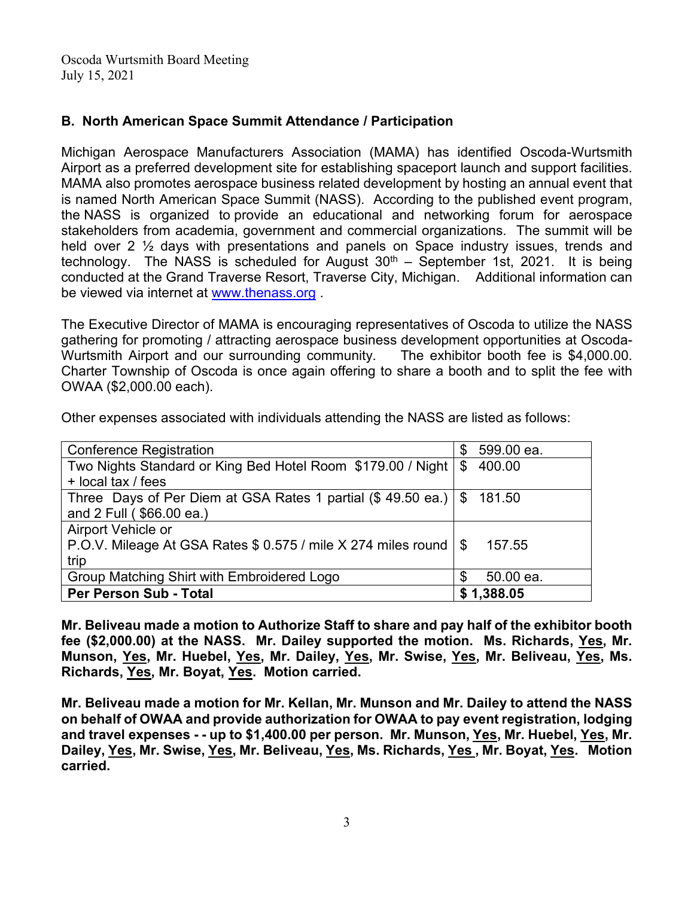## **B. North American Space Summit Attendance / Participation**

Michigan Aerospace Manufacturers Association (MAMA) has identified Oscoda-Wurtsmith Airport as a preferred development site for establishing spaceport launch and support facilities. MAMA also promotes aerospace business related development by hosting an annual event that is named North American Space Summit (NASS). According to the published event program, the NASS is organized to provide an educational and networking forum for aerospace stakeholders from academia, government and commercial organizations. The summit will be held over 2 ½ days with presentations and panels on Space industry issues, trends and technology. The NASS is scheduled for August  $30<sup>th</sup>$  – September 1st, 2021. It is being conducted at the Grand Traverse Resort, Traverse City, Michigan. Additional information can be viewed via internet at [www.thenass.org](http://www.thenass.org/) .

The Executive Director of MAMA is encouraging representatives of Oscoda to utilize the NASS gathering for promoting / attracting aerospace business development opportunities at Oscoda-Wurtsmith Airport and our surrounding community. The exhibitor booth fee is \$4,000.00. Charter Township of Oscoda is once again offering to share a booth and to split the fee with OWAA (\$2,000.00 each).

| <b>Conference Registration</b>                                              | S   | 599.00 ea. |
|-----------------------------------------------------------------------------|-----|------------|
| Two Nights Standard or King Bed Hotel Room \$179.00 / Night   \$ 400.00     |     |            |
| + local tax / fees                                                          |     |            |
| Three Days of Per Diem at GSA Rates 1 partial $(\$ 49.50$ ea.) $ \$ 181.50$ |     |            |
| and 2 Full (\$66.00 ea.)                                                    |     |            |
| Airport Vehicle or                                                          |     |            |
| P.O.V. Mileage At GSA Rates \$ 0.575 / mile X 274 miles round   \$          |     | 157.55     |
| trip                                                                        |     |            |
| Group Matching Shirt with Embroidered Logo                                  | \$. | 50.00 ea.  |
| Per Person Sub - Total                                                      |     | \$1,388.05 |

Other expenses associated with individuals attending the NASS are listed as follows:

**Mr. Beliveau made a motion to Authorize Staff to share and pay half of the exhibitor booth fee (\$2,000.00) at the NASS. Mr. Dailey supported the motion. Ms. Richards, Yes, Mr. Munson, Yes, Mr. Huebel, Yes, Mr. Dailey, Yes, Mr. Swise, Yes, Mr. Beliveau, Yes, Ms. Richards, Yes, Mr. Boyat, Yes. Motion carried.**

**Mr. Beliveau made a motion for Mr. Kellan, Mr. Munson and Mr. Dailey to attend the NASS on behalf of OWAA and provide authorization for OWAA to pay event registration, lodging and travel expenses - - up to \$1,400.00 per person. Mr. Munson, Yes, Mr. Huebel, Yes, Mr. Dailey, Yes, Mr. Swise, Yes, Mr. Beliveau, Yes, Ms. Richards, Yes , Mr. Boyat, Yes. Motion carried.**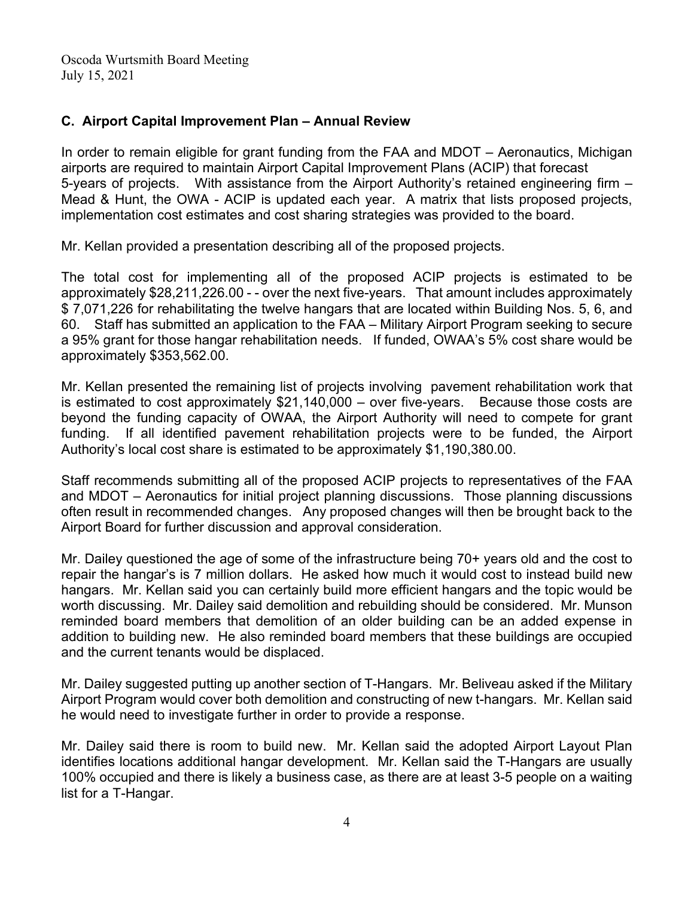# **C. Airport Capital Improvement Plan – Annual Review**

In order to remain eligible for grant funding from the FAA and MDOT – Aeronautics, Michigan airports are required to maintain Airport Capital Improvement Plans (ACIP) that forecast 5-years of projects. With assistance from the Airport Authority's retained engineering firm – Mead & Hunt, the OWA - ACIP is updated each year. A matrix that lists proposed projects, implementation cost estimates and cost sharing strategies was provided to the board.

Mr. Kellan provided a presentation describing all of the proposed projects.

The total cost for implementing all of the proposed ACIP projects is estimated to be approximately \$28,211,226.00 - - over the next five-years. That amount includes approximately \$ 7,071,226 for rehabilitating the twelve hangars that are located within Building Nos. 5, 6, and 60. Staff has submitted an application to the FAA – Military Airport Program seeking to secure a 95% grant for those hangar rehabilitation needs. If funded, OWAA's 5% cost share would be approximately \$353,562.00.

Mr. Kellan presented the remaining list of projects involving pavement rehabilitation work that is estimated to cost approximately \$21,140,000 – over five-years. Because those costs are beyond the funding capacity of OWAA, the Airport Authority will need to compete for grant funding. If all identified pavement rehabilitation projects were to be funded, the Airport Authority's local cost share is estimated to be approximately \$1,190,380.00.

Staff recommends submitting all of the proposed ACIP projects to representatives of the FAA and MDOT – Aeronautics for initial project planning discussions. Those planning discussions often result in recommended changes. Any proposed changes will then be brought back to the Airport Board for further discussion and approval consideration.

Mr. Dailey questioned the age of some of the infrastructure being 70+ years old and the cost to repair the hangar's is 7 million dollars. He asked how much it would cost to instead build new hangars. Mr. Kellan said you can certainly build more efficient hangars and the topic would be worth discussing. Mr. Dailey said demolition and rebuilding should be considered. Mr. Munson reminded board members that demolition of an older building can be an added expense in addition to building new. He also reminded board members that these buildings are occupied and the current tenants would be displaced.

Mr. Dailey suggested putting up another section of T-Hangars. Mr. Beliveau asked if the Military Airport Program would cover both demolition and constructing of new t-hangars. Mr. Kellan said he would need to investigate further in order to provide a response.

Mr. Dailey said there is room to build new. Mr. Kellan said the adopted Airport Layout Plan identifies locations additional hangar development. Mr. Kellan said the T-Hangars are usually 100% occupied and there is likely a business case, as there are at least 3-5 people on a waiting list for a T-Hangar.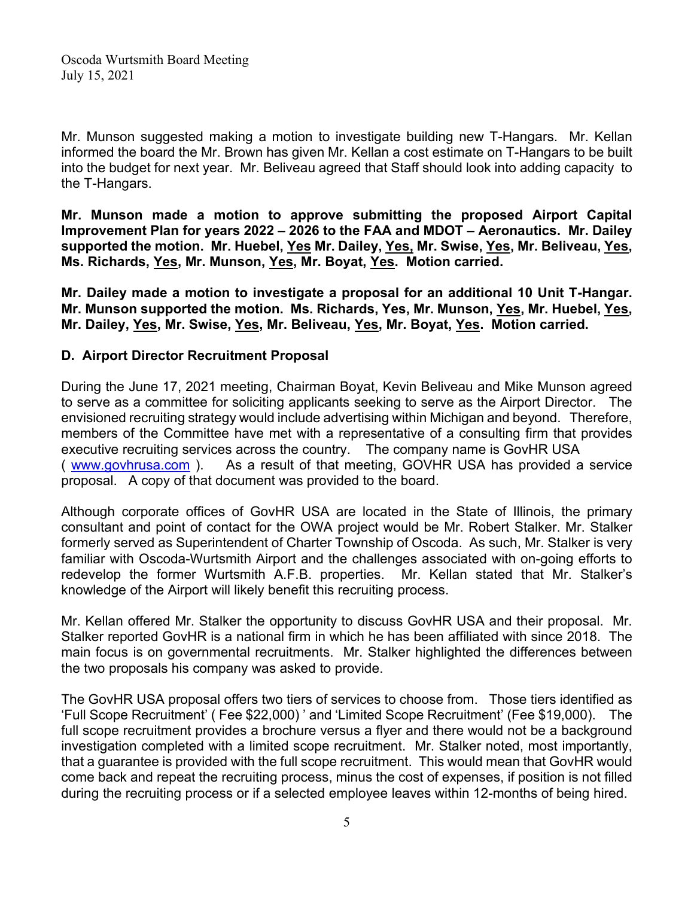Mr. Munson suggested making a motion to investigate building new T-Hangars. Mr. Kellan informed the board the Mr. Brown has given Mr. Kellan a cost estimate on T-Hangars to be built into the budget for next year. Mr. Beliveau agreed that Staff should look into adding capacity to the T-Hangars.

**Mr. Munson made a motion to approve submitting the proposed Airport Capital Improvement Plan for years 2022 – 2026 to the FAA and MDOT – Aeronautics. Mr. Dailey supported the motion. Mr. Huebel, Yes Mr. Dailey, Yes, Mr. Swise, Yes, Mr. Beliveau, Yes, Ms. Richards, Yes, Mr. Munson, Yes, Mr. Boyat, Yes. Motion carried.**

**Mr. Dailey made a motion to investigate a proposal for an additional 10 Unit T-Hangar. Mr. Munson supported the motion. Ms. Richards, Yes, Mr. Munson, Yes, Mr. Huebel, Yes, Mr. Dailey, Yes, Mr. Swise, Yes, Mr. Beliveau, Yes, Mr. Boyat, Yes. Motion carried.**

### **D. Airport Director Recruitment Proposal**

During the June 17, 2021 meeting, Chairman Boyat, Kevin Beliveau and Mike Munson agreed to serve as a committee for soliciting applicants seeking to serve as the Airport Director. The envisioned recruiting strategy would include advertising within Michigan and beyond. Therefore, members of the Committee have met with a representative of a consulting firm that provides executive recruiting services across the country. The company name is GovHR USA ( [www.govhrusa.com](http://www.govhrusa.com/) ). As a result of that meeting, GOVHR USA has provided a service proposal. A copy of that document was provided to the board.

Although corporate offices of GovHR USA are located in the State of Illinois, the primary consultant and point of contact for the OWA project would be Mr. Robert Stalker. Mr. Stalker formerly served as Superintendent of Charter Township of Oscoda. As such, Mr. Stalker is very familiar with Oscoda-Wurtsmith Airport and the challenges associated with on-going efforts to redevelop the former Wurtsmith A.F.B. properties. Mr. Kellan stated that Mr. Stalker's knowledge of the Airport will likely benefit this recruiting process.

Mr. Kellan offered Mr. Stalker the opportunity to discuss GovHR USA and their proposal. Mr. Stalker reported GovHR is a national firm in which he has been affiliated with since 2018. The main focus is on governmental recruitments. Mr. Stalker highlighted the differences between the two proposals his company was asked to provide.

The GovHR USA proposal offers two tiers of services to choose from. Those tiers identified as 'Full Scope Recruitment' ( Fee \$22,000) ' and 'Limited Scope Recruitment' (Fee \$19,000). The full scope recruitment provides a brochure versus a flyer and there would not be a background investigation completed with a limited scope recruitment. Mr. Stalker noted, most importantly, that a guarantee is provided with the full scope recruitment. This would mean that GovHR would come back and repeat the recruiting process, minus the cost of expenses, if position is not filled during the recruiting process or if a selected employee leaves within 12-months of being hired.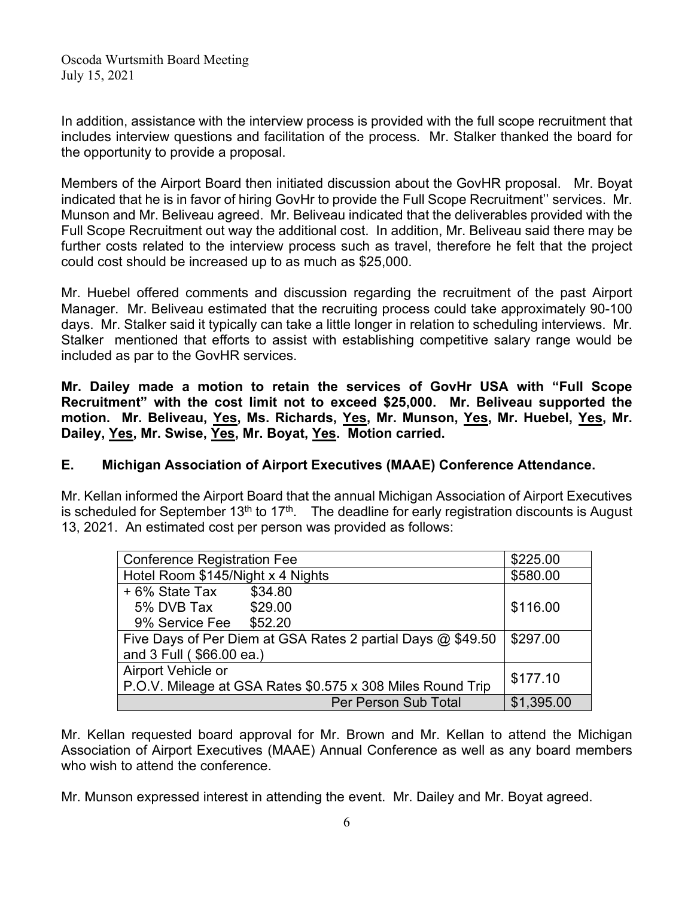In addition, assistance with the interview process is provided with the full scope recruitment that includes interview questions and facilitation of the process. Mr. Stalker thanked the board for the opportunity to provide a proposal.

Members of the Airport Board then initiated discussion about the GovHR proposal. Mr. Boyat indicated that he is in favor of hiring GovHr to provide the Full Scope Recruitment'' services. Mr. Munson and Mr. Beliveau agreed. Mr. Beliveau indicated that the deliverables provided with the Full Scope Recruitment out way the additional cost. In addition, Mr. Beliveau said there may be further costs related to the interview process such as travel, therefore he felt that the project could cost should be increased up to as much as \$25,000.

Mr. Huebel offered comments and discussion regarding the recruitment of the past Airport Manager. Mr. Beliveau estimated that the recruiting process could take approximately 90-100 days. Mr. Stalker said it typically can take a little longer in relation to scheduling interviews. Mr. Stalker mentioned that efforts to assist with establishing competitive salary range would be included as par to the GovHR services.

**Mr. Dailey made a motion to retain the services of GovHr USA with "Full Scope Recruitment" with the cost limit not to exceed \$25,000. Mr. Beliveau supported the motion. Mr. Beliveau, Yes, Ms. Richards, Yes, Mr. Munson, Yes, Mr. Huebel, Yes, Mr. Dailey, Yes, Mr. Swise, Yes, Mr. Boyat, Yes. Motion carried.**

# **E. Michigan Association of Airport Executives (MAAE) Conference Attendance.**

Mr. Kellan informed the Airport Board that the annual Michigan Association of Airport Executives is scheduled for September  $13<sup>th</sup>$  to  $17<sup>th</sup>$ . The deadline for early registration discounts is August 13, 2021. An estimated cost per person was provided as follows:

| <b>Conference Registration Fee</b>                          |                      | \$225.00   |
|-------------------------------------------------------------|----------------------|------------|
| Hotel Room \$145/Night x 4 Nights                           |                      | \$580.00   |
| + 6% State Tax                                              | \$34.80              |            |
| 5% DVB Tax \$29.00                                          |                      | \$116.00   |
| 9% Service Fee \$52.20                                      |                      |            |
| Five Days of Per Diem at GSA Rates 2 partial Days @ \$49.50 |                      | \$297.00   |
| and 3 Full (\$66.00 ea.)                                    |                      |            |
| Airport Vehicle or                                          |                      | \$177.10   |
| P.O.V. Mileage at GSA Rates \$0.575 x 308 Miles Round Trip  |                      |            |
|                                                             | Per Person Sub Total | \$1,395.00 |

Mr. Kellan requested board approval for Mr. Brown and Mr. Kellan to attend the Michigan Association of Airport Executives (MAAE) Annual Conference as well as any board members who wish to attend the conference.

Mr. Munson expressed interest in attending the event. Mr. Dailey and Mr. Boyat agreed.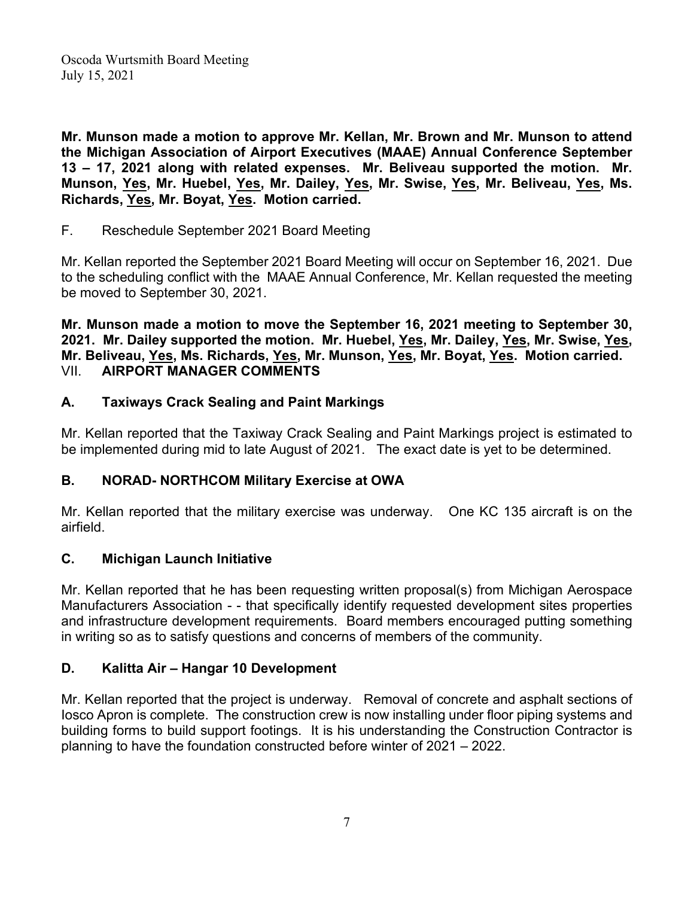**Mr. Munson made a motion to approve Mr. Kellan, Mr. Brown and Mr. Munson to attend the Michigan Association of Airport Executives (MAAE) Annual Conference September 13 – 17, 2021 along with related expenses. Mr. Beliveau supported the motion. Mr. Munson, Yes, Mr. Huebel, Yes, Mr. Dailey, Yes, Mr. Swise, Yes, Mr. Beliveau, Yes, Ms. Richards, Yes, Mr. Boyat, Yes. Motion carried.**

F. Reschedule September 2021 Board Meeting

Mr. Kellan reported the September 2021 Board Meeting will occur on September 16, 2021. Due to the scheduling conflict with the MAAE Annual Conference, Mr. Kellan requested the meeting be moved to September 30, 2021.

**Mr. Munson made a motion to move the September 16, 2021 meeting to September 30, 2021. Mr. Dailey supported the motion. Mr. Huebel, Yes, Mr. Dailey, Yes, Mr. Swise, Yes, Mr. Beliveau, Yes, Ms. Richards, Yes, Mr. Munson, Yes, Mr. Boyat, Yes. Motion carried.** VII. **AIRPORT MANAGER COMMENTS**

### **A. Taxiways Crack Sealing and Paint Markings**

Mr. Kellan reported that the Taxiway Crack Sealing and Paint Markings project is estimated to be implemented during mid to late August of 2021. The exact date is yet to be determined.

# **B. NORAD- NORTHCOM Military Exercise at OWA**

Mr. Kellan reported that the military exercise was underway. One KC 135 aircraft is on the airfield.

### **C. Michigan Launch Initiative**

Mr. Kellan reported that he has been requesting written proposal(s) from Michigan Aerospace Manufacturers Association - - that specifically identify requested development sites properties and infrastructure development requirements. Board members encouraged putting something in writing so as to satisfy questions and concerns of members of the community.

# **D. Kalitta Air – Hangar 10 Development**

Mr. Kellan reported that the project is underway. Removal of concrete and asphalt sections of Iosco Apron is complete. The construction crew is now installing under floor piping systems and building forms to build support footings. It is his understanding the Construction Contractor is planning to have the foundation constructed before winter of 2021 – 2022.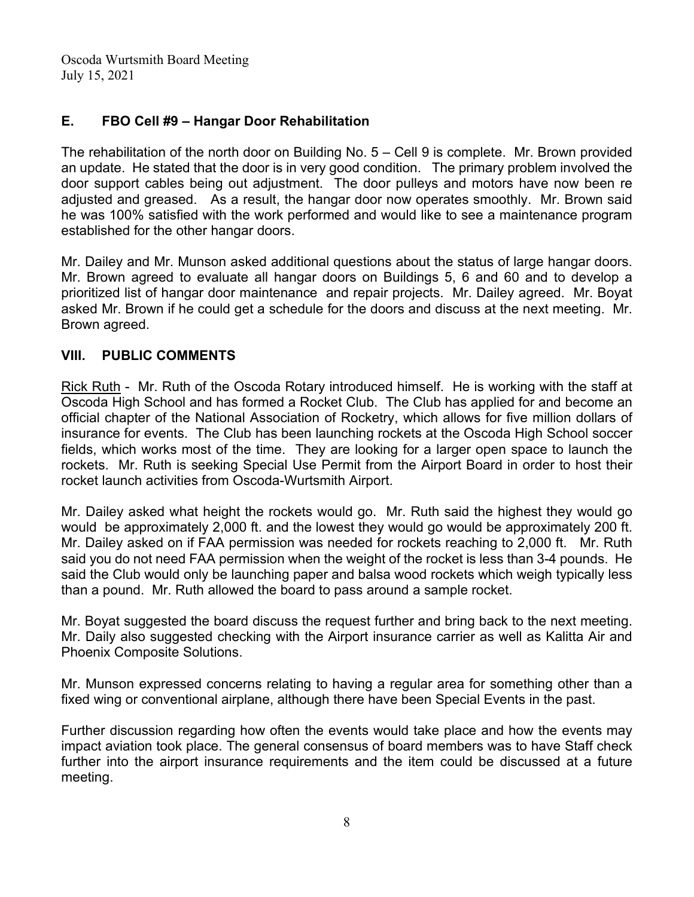# **E. FBO Cell #9 – Hangar Door Rehabilitation**

The rehabilitation of the north door on Building No. 5 – Cell 9 is complete. Mr. Brown provided an update. He stated that the door is in very good condition. The primary problem involved the door support cables being out adjustment. The door pulleys and motors have now been re adjusted and greased. As a result, the hangar door now operates smoothly. Mr. Brown said he was 100% satisfied with the work performed and would like to see a maintenance program established for the other hangar doors.

Mr. Dailey and Mr. Munson asked additional questions about the status of large hangar doors. Mr. Brown agreed to evaluate all hangar doors on Buildings 5, 6 and 60 and to develop a prioritized list of hangar door maintenance and repair projects. Mr. Dailey agreed. Mr. Boyat asked Mr. Brown if he could get a schedule for the doors and discuss at the next meeting. Mr. Brown agreed.

### **VIII. PUBLIC COMMENTS**

Rick Ruth - Mr. Ruth of the Oscoda Rotary introduced himself. He is working with the staff at Oscoda High School and has formed a Rocket Club. The Club has applied for and become an official chapter of the National Association of Rocketry, which allows for five million dollars of insurance for events. The Club has been launching rockets at the Oscoda High School soccer fields, which works most of the time. They are looking for a larger open space to launch the rockets. Mr. Ruth is seeking Special Use Permit from the Airport Board in order to host their rocket launch activities from Oscoda-Wurtsmith Airport.

Mr. Dailey asked what height the rockets would go. Mr. Ruth said the highest they would go would be approximately 2,000 ft. and the lowest they would go would be approximately 200 ft. Mr. Dailey asked on if FAA permission was needed for rockets reaching to 2,000 ft. Mr. Ruth said you do not need FAA permission when the weight of the rocket is less than 3-4 pounds. He said the Club would only be launching paper and balsa wood rockets which weigh typically less than a pound. Mr. Ruth allowed the board to pass around a sample rocket.

Mr. Boyat suggested the board discuss the request further and bring back to the next meeting. Mr. Daily also suggested checking with the Airport insurance carrier as well as Kalitta Air and Phoenix Composite Solutions.

Mr. Munson expressed concerns relating to having a regular area for something other than a fixed wing or conventional airplane, although there have been Special Events in the past.

Further discussion regarding how often the events would take place and how the events may impact aviation took place. The general consensus of board members was to have Staff check further into the airport insurance requirements and the item could be discussed at a future meeting.